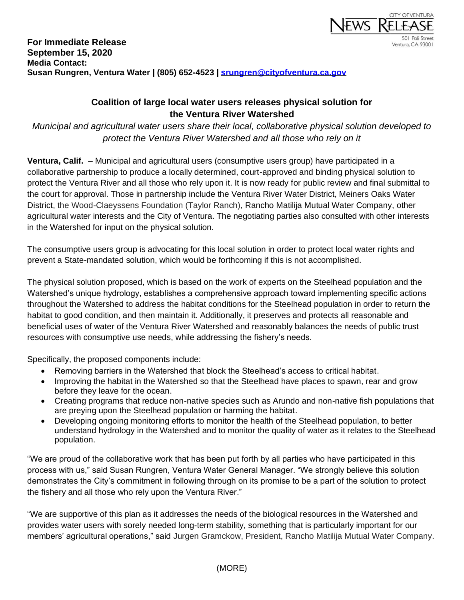

## **For Immediate Release September 15, 2020 Media Contact: Susan Rungren, Ventura Water | (805) 652-4523 | [srungren@cityofventura.ca.gov](mailto:srungren@cityofventura.ca.gov)**

## **Coalition of large local water users releases physical solution for the Ventura River Watershed**

*Municipal and agricultural water users share their local, collaborative physical solution developed to protect the Ventura River Watershed and all those who rely on it*

**Ventura, Calif.** – Municipal and agricultural users (consumptive users group) have participated in a collaborative partnership to produce a locally determined, court-approved and binding physical solution to protect the Ventura River and all those who rely upon it. It is now ready for public review and final submittal to the court for approval. Those in partnership include the Ventura River Water District, Meiners Oaks Water District, the Wood-Claeyssens Foundation (Taylor Ranch), Rancho Matilija Mutual Water Company, other agricultural water interests and the City of Ventura. The negotiating parties also consulted with other interests in the Watershed for input on the physical solution.

The consumptive users group is advocating for this local solution in order to protect local water rights and prevent a State-mandated solution, which would be forthcoming if this is not accomplished.

The physical solution proposed, which is based on the work of experts on the Steelhead population and the Watershed's unique hydrology, establishes a comprehensive approach toward implementing specific actions throughout the Watershed to address the habitat conditions for the Steelhead population in order to return the habitat to good condition, and then maintain it. Additionally, it preserves and protects all reasonable and beneficial uses of water of the Ventura River Watershed and reasonably balances the needs of public trust resources with consumptive use needs, while addressing the fishery's needs.

Specifically, the proposed components include:

- Removing barriers in the Watershed that block the Steelhead's access to critical habitat.
- Improving the habitat in the Watershed so that the Steelhead have places to spawn, rear and grow before they leave for the ocean.
- Creating programs that reduce non-native species such as Arundo and non-native fish populations that are preying upon the Steelhead population or harming the habitat.
- Developing ongoing monitoring efforts to monitor the health of the Steelhead population, to better understand hydrology in the Watershed and to monitor the quality of water as it relates to the Steelhead population.

"We are proud of the collaborative work that has been put forth by all parties who have participated in this process with us," said Susan Rungren, Ventura Water General Manager. "We strongly believe this solution demonstrates the City's commitment in following through on its promise to be a part of the solution to protect the fishery and all those who rely upon the Ventura River."

"We are supportive of this plan as it addresses the needs of the biological resources in the Watershed and provides water users with sorely needed long-term stability, something that is particularly important for our members' agricultural operations," said Jurgen Gramckow, President, Rancho Matilija Mutual Water Company.